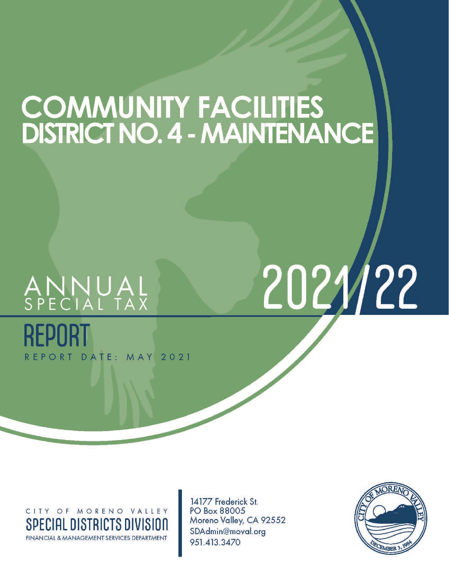### COMMUNITY FACILITIES<br>DISTRICT NO. 4 - MAINTENANCE

# ANNUAL<br>Special Tax

REPORT DATE: MAY 2021

## 2021/22

CITY OF MORENO VALLEY SPECIAL DISTRICTS DIVISION **FINANCIAL & MANAGEMENT SERVICES DEPARTMENT** 

14177 Frederick St. PO Box 88005 Moreno Valley, CA 92552 SDAdmin@moval.org 951.413.3470

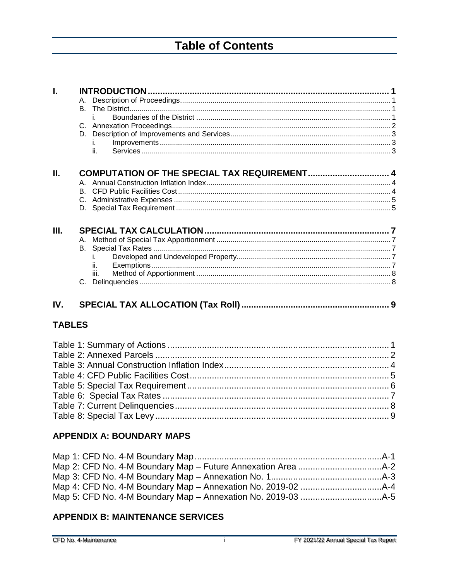### **Table of Contents**

| Ī.            |    |      |  |
|---------------|----|------|--|
|               | А. |      |  |
|               | В. |      |  |
|               |    |      |  |
|               |    |      |  |
|               |    |      |  |
|               |    |      |  |
|               |    | ii.  |  |
| Ш.            |    |      |  |
|               |    |      |  |
|               |    |      |  |
|               |    |      |  |
|               |    |      |  |
|               |    |      |  |
| Ш.            |    |      |  |
|               |    |      |  |
|               |    |      |  |
|               |    |      |  |
|               |    | ii.  |  |
|               |    | iii. |  |
|               |    |      |  |
| IV.           |    |      |  |
| <b>TABLES</b> |    |      |  |
|               |    |      |  |
|               |    |      |  |

#### **APPENDIX A: BOUNDARY MAPS**

#### **APPENDIX B: MAINTENANCE SERVICES**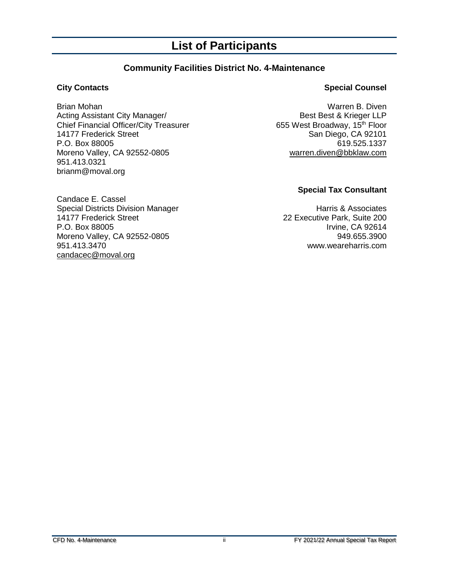#### **List of Participants**

#### **Community Facilities District No. 4-Maintenance**

Brian Mohan Warren B. Diven<br>Acting Assistant City Manager/ National Sessence of the Best & Krieger LLP Acting Assistant City Manager/<br>Chief Financial Officer/City Treasurer **Best Best Broadway, 15<sup>th</sup> Floor** Chief Financial Officer/City Treasurer<br>14177 Frederick Street P.O. Box 88005 619.525.1337 Moreno Valley, CA 92552-0805 [warren.diven@bbklaw.com](mailto:warren.diven@bbklaw.com) 951.413.0321 brianm@moval.org

#### **City Contacts Special Counsel**

San Diego, CA 92101

#### **Special Tax Consultant**

22 Executive Park, Suite 200 www.weareharris.com

Candace E. Cassel Special Districts Division Manager<br>14177 Frederick Street 14177 22 Executive Park, Suite 200 P.O. Box 88005 Irvine, CA 92614 Moreno Valley, CA 92552-0805<br>949.655.3900 951.413.3470<br>www.weareharris.com [candacec@moval.org](mailto:candacec@moval.org)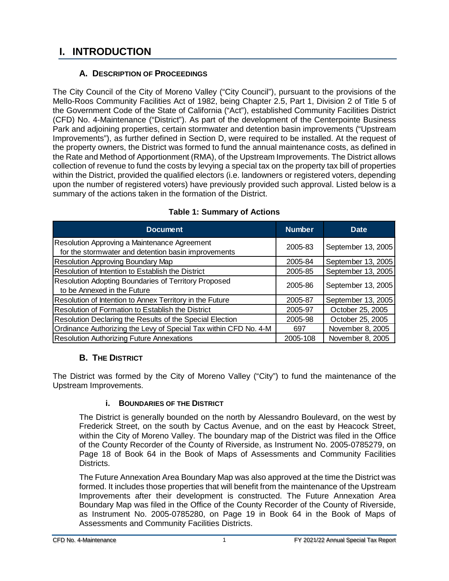#### <span id="page-3-0"></span>**I. INTRODUCTION**

#### **A. DESCRIPTION OF PROCEEDINGS**

<span id="page-3-1"></span>The City Council of the City of Moreno Valley ("City Council"), pursuant to the provisions of the Mello-Roos Community Facilities Act of 1982, being Chapter 2.5, Part 1, Division 2 of Title 5 of the Government Code of the State of California ("Act"), established Community Facilities District (CFD) No. 4-Maintenance ("District"). As part of the development of the Centerpointe Business Park and adjoining properties, certain stormwater and detention basin improvements ("Upstream Improvements"), as further defined in Section D, were required to be installed. At the request of the property owners, the District was formed to fund the annual maintenance costs, as defined in the Rate and Method of Apportionment (RMA), of the Upstream Improvements. The District allows collection of revenue to fund the costs by levying a special tax on the property tax bill of properties within the District, provided the qualified electors (i.e. landowners or registered voters, depending upon the number of registered voters) have previously provided such approval. Listed below is a summary of the actions taken in the formation of the District.

<span id="page-3-4"></span>

| <b>Document</b>                                                                                     | <b>Number</b> | <b>Date</b>        |
|-----------------------------------------------------------------------------------------------------|---------------|--------------------|
| Resolution Approving a Maintenance Agreement<br>for the stormwater and detention basin improvements | 2005-83       | September 13, 2005 |
| <b>Resolution Approving Boundary Map</b>                                                            | 2005-84       | September 13, 2005 |
| Resolution of Intention to Establish the District                                                   | 2005-85       | September 13, 2005 |
| <b>Resolution Adopting Boundaries of Territory Proposed</b><br>to be Annexed in the Future          | 2005-86       | September 13, 2005 |
| Resolution of Intention to Annex Territory in the Future                                            | 2005-87       | September 13, 2005 |
| <b>Resolution of Formation to Establish the District</b>                                            | 2005-97       | October 25, 2005   |
| Resolution Declaring the Results of the Special Election                                            | 2005-98       | October 25, 2005   |
| Ordinance Authorizing the Levy of Special Tax within CFD No. 4-M                                    | 697           | November 8, 2005   |
| <b>Resolution Authorizing Future Annexations</b>                                                    | 2005-108      | November 8, 2005   |

#### **Table 1: Summary of Actions**

#### **B. THE DISTRICT**

<span id="page-3-3"></span><span id="page-3-2"></span>The District was formed by the City of Moreno Valley ("City") to fund the maintenance of the Upstream Improvements.

#### **i. BOUNDARIES OF THE DISTRICT**

The District is generally bounded on the north by Alessandro Boulevard, on the west by Frederick Street, on the south by Cactus Avenue, and on the east by Heacock Street, within the City of Moreno Valley. The boundary map of the District was filed in the Office of the County Recorder of the County of Riverside, as Instrument No. 2005-0785279, on Page 18 of Book 64 in the Book of Maps of Assessments and Community Facilities Districts.

The Future Annexation Area Boundary Map was also approved at the time the District was formed. It includes those properties that will benefit from the maintenance of the Upstream Improvements after their development is constructed. The Future Annexation Area Boundary Map was filed in the Office of the County Recorder of the County of Riverside, as Instrument No. 2005-0785280, on Page 19 in Book 64 in the Book of Maps of Assessments and Community Facilities Districts.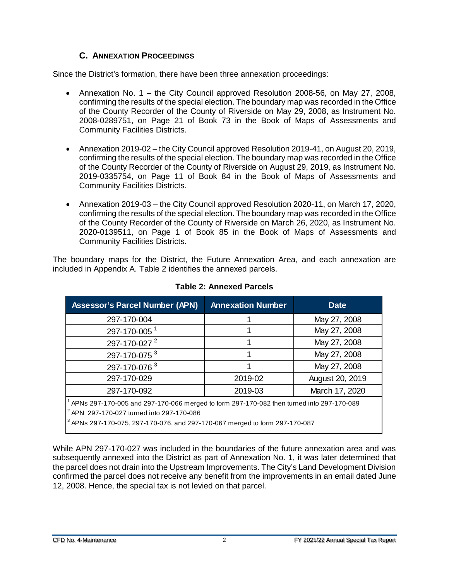#### **C. ANNEXATION PROCEEDINGS**

<span id="page-4-0"></span>Since the District's formation, there have been three annexation proceedings:

- Annexation No. 1 the City Council approved Resolution 2008-56, on May 27, 2008, confirming the results of the special election. The boundary map was recorded in the Office of the County Recorder of the County of Riverside on May 29, 2008, as Instrument No. 2008-0289751, on Page 21 of Book 73 in the Book of Maps of Assessments and Community Facilities Districts.
- Annexation 2019-02 the City Council approved Resolution 2019-41, on August 20, 2019, confirming the results of the special election. The boundary map was recorded in the Office of the County Recorder of the County of Riverside on August 29, 2019, as Instrument No. 2019-0335754, on Page 11 of Book 84 in the Book of Maps of Assessments and Community Facilities Districts.
- Annexation 2019-03 the City Council approved Resolution 2020-11, on March 17, 2020, confirming the results of the special election. The boundary map was recorded in the Office of the County Recorder of the County of Riverside on March 26, 2020, as Instrument No. 2020-0139511, on Page 1 of Book 85 in the Book of Maps of Assessments and Community Facilities Districts.

The boundary maps for the District, the Future Annexation Area, and each annexation are included in Appendix A. Table 2 identifies the annexed parcels.

<span id="page-4-1"></span>

| <b>Assessor's Parcel Number (APN)</b>                                                         | <b>Annexation Number</b> | <b>Date</b>     |  |  |  |  |  |  |
|-----------------------------------------------------------------------------------------------|--------------------------|-----------------|--|--|--|--|--|--|
| 297-170-004                                                                                   |                          | May 27, 2008    |  |  |  |  |  |  |
| 297-170-005 <sup>1</sup>                                                                      |                          | May 27, 2008    |  |  |  |  |  |  |
| 297-170-027 <sup>2</sup>                                                                      |                          | May 27, 2008    |  |  |  |  |  |  |
| 297-170-075 <sup>3</sup>                                                                      |                          | May 27, 2008    |  |  |  |  |  |  |
| 297-170-076 3                                                                                 |                          | May 27, 2008    |  |  |  |  |  |  |
| 297-170-029                                                                                   | 2019-02                  | August 20, 2019 |  |  |  |  |  |  |
| 297-170-092                                                                                   | 2019-03                  | March 17, 2020  |  |  |  |  |  |  |
| $^1$ APNs 297-170-005 and 297-170-066 merged to form 297-170-082 then turned into 297-170-089 |                          |                 |  |  |  |  |  |  |
| <sup>2</sup> APN 297-170-027 turned into 297-170-086                                          |                          |                 |  |  |  |  |  |  |
| $3$ APNs 297-170-075, 297-170-076, and 297-170-067 merged to form 297-170-087                 |                          |                 |  |  |  |  |  |  |

#### **Table 2: Annexed Parcels**

While APN 297-170-027 was included in the boundaries of the future annexation area and was subsequently annexed into the District as part of Annexation No. 1, it was later determined that the parcel does not drain into the Upstream Improvements. The City's Land Development Division confirmed the parcel does not receive any benefit from the improvements in an email dated June 12, 2008. Hence, the special tax is not levied on that parcel.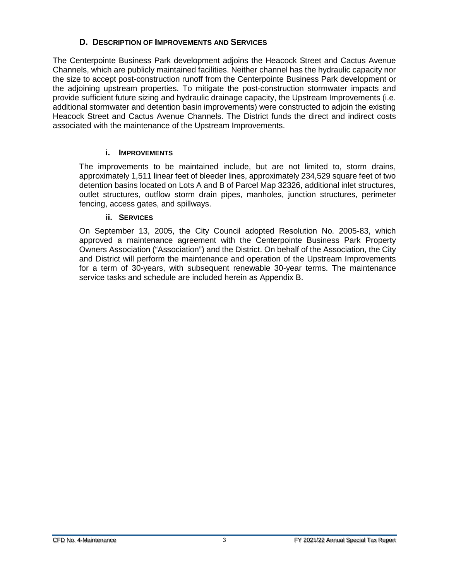#### **D. DESCRIPTION OF IMPROVEMENTS AND SERVICES**

<span id="page-5-0"></span>The Centerpointe Business Park development adjoins the Heacock Street and Cactus Avenue Channels, which are publicly maintained facilities. Neither channel has the hydraulic capacity nor the size to accept post-construction runoff from the Centerpointe Business Park development or the adjoining upstream properties. To mitigate the post-construction stormwater impacts and provide sufficient future sizing and hydraulic drainage capacity, the Upstream Improvements (i.e. additional stormwater and detention basin improvements) were constructed to adjoin the existing Heacock Street and Cactus Avenue Channels. The District funds the direct and indirect costs associated with the maintenance of the Upstream Improvements.

#### **i. IMPROVEMENTS**

<span id="page-5-1"></span>The improvements to be maintained include, but are not limited to, storm drains, approximately 1,511 linear feet of bleeder lines, approximately 234,529 square feet of two detention basins located on Lots A and B of Parcel Map 32326, additional inlet structures, outlet structures, outflow storm drain pipes, manholes, junction structures, perimeter fencing, access gates, and spillways.

#### **ii. SERVICES**

<span id="page-5-2"></span>On September 13, 2005, the City Council adopted Resolution No. 2005-83, which approved a maintenance agreement with the Centerpointe Business Park Property Owners Association ("Association") and the District. On behalf of the Association, the City and District will perform the maintenance and operation of the Upstream Improvements for a term of 30-years, with subsequent renewable 30-year terms. The maintenance service tasks and schedule are included herein as Appendix B.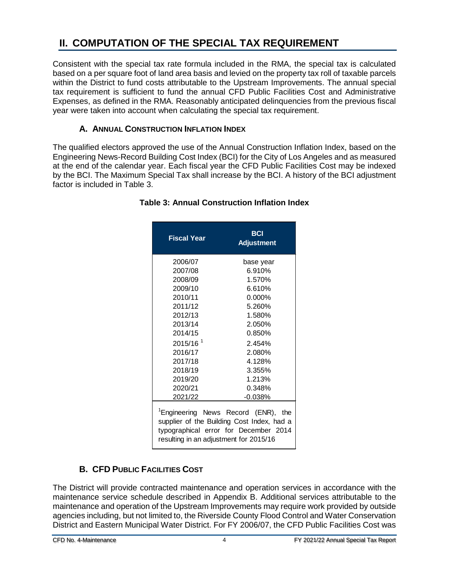#### <span id="page-6-0"></span>**II. COMPUTATION OF THE SPECIAL TAX REQUIREMENT**

Consistent with the special tax rate formula included in the RMA, the special tax is calculated based on a per square foot of land area basis and levied on the property tax roll of taxable parcels within the District to fund costs attributable to the Upstream Improvements. The annual special tax requirement is sufficient to fund the annual CFD Public Facilities Cost and Administrative Expenses, as defined in the RMA. Reasonably anticipated delinquencies from the previous fiscal year were taken into account when calculating the special tax requirement.

#### **A. ANNUAL CONSTRUCTION INFLATION INDEX**

<span id="page-6-3"></span><span id="page-6-1"></span>The qualified electors approved the use of the Annual Construction Inflation Index, based on the Engineering News-Record Building Cost Index (BCI) for the City of Los Angeles and as measured at the end of the calendar year. Each fiscal year the CFD Public Facilities Cost may be indexed by the BCI. The Maximum Special Tax shall increase by the BCI. A history of the BCI adjustment factor is included in Table 3.

| <b>Fiscal Year</b>                     | <b>BCI</b><br><b>Adjustment</b>                                                                                                        |
|----------------------------------------|----------------------------------------------------------------------------------------------------------------------------------------|
| 2006/07                                | base vear                                                                                                                              |
| 2007/08                                | 6.910%                                                                                                                                 |
| 2008/09                                | 1.570%                                                                                                                                 |
| 2009/10                                | 6.610%                                                                                                                                 |
| 2010/11                                | $0.000\%$                                                                                                                              |
| 2011/12                                | 5.260%                                                                                                                                 |
| 2012/13                                | 1.580%                                                                                                                                 |
| 2013/14                                | 2.050%                                                                                                                                 |
| 2014/15                                | 0.850%                                                                                                                                 |
| 2015/16 <sup>1</sup>                   | 2.454%                                                                                                                                 |
| 2016/17                                | 2.080%                                                                                                                                 |
| 2017/18                                | 4.128%                                                                                                                                 |
| 2018/19                                | 3.355%                                                                                                                                 |
| 2019/20                                | 1.213%                                                                                                                                 |
| 2020/21                                | 0.348%                                                                                                                                 |
| 2021/22                                | $-0.038\%$                                                                                                                             |
| resulting in an adjustment for 2015/16 | <sup>1</sup> Engineering News Record (ENR), the<br>supplier of the Building Cost Index, had a<br>typographical error for December 2014 |

#### **Table 3: Annual Construction Inflation Index**

#### **B. CFD PUBLIC FACILITIES COST**

<span id="page-6-2"></span>The District will provide contracted maintenance and operation services in accordance with the maintenance service schedule described in Appendix B. Additional services attributable to the maintenance and operation of the Upstream Improvements may require work provided by outside agencies including, but not limited to, the Riverside County Flood Control and Water Conservation District and Eastern Municipal Water District. For FY 2006/07, the CFD Public Facilities Cost was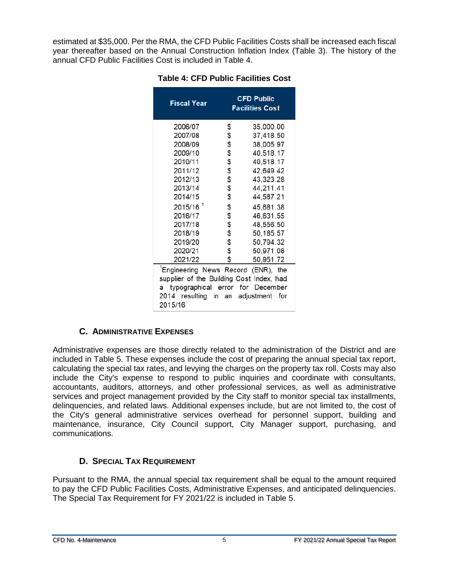<span id="page-7-2"></span>estimated at \$35,000. Per the RMA, the CFD Public Facilities Costs shall be increased each fiscal year thereafter based on the Annual Construction Inflation Index (Table 3). The history of the annual CFD Public Facilities Cost is included in Table 4.

|                                                                                                                                                                                                      | <b>CFD Public</b><br><b>Facilities Cost</b>  |  |  |  |  |  |
|------------------------------------------------------------------------------------------------------------------------------------------------------------------------------------------------------|----------------------------------------------|--|--|--|--|--|
| \$                                                                                                                                                                                                   | 35,000.00                                    |  |  |  |  |  |
| \$                                                                                                                                                                                                   | 37,418.50                                    |  |  |  |  |  |
| \$                                                                                                                                                                                                   | 38,005.97                                    |  |  |  |  |  |
|                                                                                                                                                                                                      | 40,518.17                                    |  |  |  |  |  |
|                                                                                                                                                                                                      | 40,518.17                                    |  |  |  |  |  |
|                                                                                                                                                                                                      | 42,649.42                                    |  |  |  |  |  |
|                                                                                                                                                                                                      | 43,323.28                                    |  |  |  |  |  |
|                                                                                                                                                                                                      | 44,211.41                                    |  |  |  |  |  |
|                                                                                                                                                                                                      | 44,587.21                                    |  |  |  |  |  |
| \$                                                                                                                                                                                                   | 45,681.38                                    |  |  |  |  |  |
| \$                                                                                                                                                                                                   | 46,631.55                                    |  |  |  |  |  |
|                                                                                                                                                                                                      | 48,556.50                                    |  |  |  |  |  |
| \$                                                                                                                                                                                                   | 50,185.57                                    |  |  |  |  |  |
|                                                                                                                                                                                                      | 50,794.32                                    |  |  |  |  |  |
| \$                                                                                                                                                                                                   | 50,971.08                                    |  |  |  |  |  |
| \$                                                                                                                                                                                                   | 50,951.72                                    |  |  |  |  |  |
| 2021/22<br><sup>1</sup> Engineering News Record (ENR), the<br>supplier of the Building Cost Index, had<br>typographical error for December<br>a<br>2014 resulting in an adjustment<br>for<br>2015/16 |                                              |  |  |  |  |  |
|                                                                                                                                                                                                      | \$<br>\$<br>\$<br>\$<br>\$<br>\$<br>\$<br>\$ |  |  |  |  |  |

#### **Table 4: CFD Public Facilities Cost**

#### **C. ADMINISTRATIVE EXPENSES**

<span id="page-7-0"></span>Administrative expenses are those directly related to the administration of the District and are included in Table 5. These expenses include the cost of preparing the annual special tax report, calculating the special tax rates, and levying the charges on the property tax roll. Costs may also include the City's expense to respond to public inquiries and coordinate with consultants, accountants, auditors, attorneys, and other professional services, as well as administrative services and project management provided by the City staff to monitor special tax installments, delinquencies, and related laws. Additional expenses include, but are not limited to, the cost of the City's general administrative services overhead for personnel support, building and maintenance, insurance, City Council support, City Manager support, purchasing, and communications.

#### **D. SPECIAL TAX REQUIREMENT**

<span id="page-7-1"></span>Pursuant to the RMA, the annual special tax requirement shall be equal to the amount required to pay the CFD Public Facilities Costs, Administrative Expenses, and anticipated delinquencies. The Special Tax Requirement for FY 2021/22 is included in Table 5.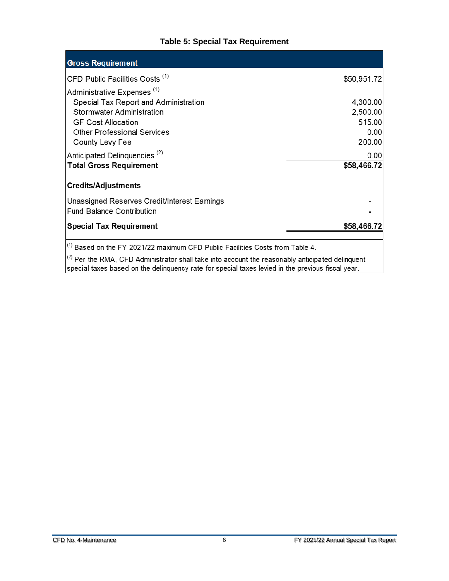#### **Table 5: Special Tax Requirement**

<span id="page-8-0"></span>

| <b>Gross Requirement</b>                     |             |
|----------------------------------------------|-------------|
| CFD Public Facilities Costs <sup>(1)</sup>   | \$50,951.72 |
| Administrative Expenses <sup>(1)</sup>       |             |
| Special Tax Report and Administration        | 4,300.00    |
| Stormwater Administration                    | 2,500.00    |
| <b>GF Cost Allocation</b>                    | 515.00      |
| <b>Other Professional Services</b>           | 0.00        |
| County Levy Fee                              | 200.00      |
| Anticipated Delinguencies <sup>(2)</sup>     | 0.00        |
| <b>Total Gross Requirement</b>               | \$58,466.72 |
| <b>Credits/Adjustments</b>                   |             |
| Unassigned Reserves Credit/Interest Earnings |             |
| <b>Fund Balance Contribution</b>             |             |
| <b>Special Tax Requirement</b>               | \$58,466.72 |
|                                              |             |

 $\Big|^{(1)}$  Based on the FY 2021/22 maximum CFD Public Facilities Costs from Table 4.

 $\left| \right|^{(2)}$  Per the RMA, CFD Administrator shall take into account the reasonably anticipated delinquent special taxes based on the delinquency rate for special taxes levied in the previous fiscal year.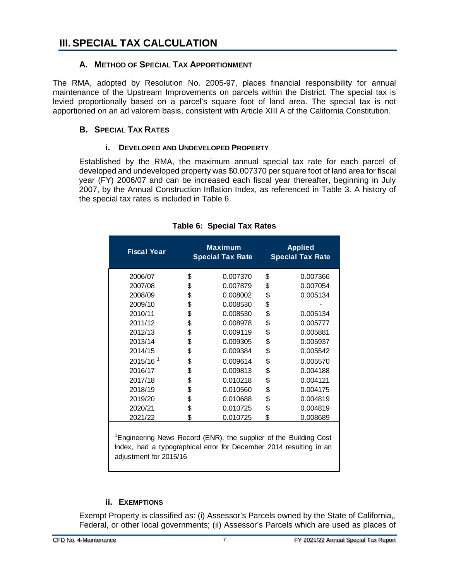#### <span id="page-9-1"></span><span id="page-9-0"></span>**A. METHOD OF SPECIAL TAX APPORTIONMENT**

The RMA, adopted by Resolution No. 2005-97, places financial responsibility for annual maintenance of the Upstream Improvements on parcels within the District. The special tax is levied proportionally based on a parcel's square foot of land area. The special tax is not apportioned on an ad valorem basis, consistent with Article XIII A of the California Constitution.

#### <span id="page-9-2"></span>**B. SPECIAL TAX RATES**

#### **i. DEVELOPED AND UNDEVELOPED PROPERTY**

<span id="page-9-3"></span>Established by the RMA, the maximum annual special tax rate for each parcel of developed and undeveloped property was \$0.007370 per square foot of land area for fiscal year (FY) 2006/07 and can be increased each fiscal year thereafter, beginning in July 2007, by the Annual Construction Inflation Index, as referenced in Table 3. A history of the special tax rates is included in Table 6.

<span id="page-9-5"></span>

| <b>Fiscal Year</b>   | <b>Maximum</b><br><b>Special Tax Rate</b> | <b>Applied</b><br><b>Special Tax Rate</b> |          |  |  |
|----------------------|-------------------------------------------|-------------------------------------------|----------|--|--|
| 2006/07              | \$<br>0.007370                            | \$                                        | 0.007366 |  |  |
| 2007/08              | \$<br>0.007879                            | \$                                        | 0.007054 |  |  |
| 2008/09              | \$<br>0.008002                            | \$                                        | 0.005134 |  |  |
| 2009/10              | \$<br>0.008530                            | \$                                        |          |  |  |
| 2010/11              | \$<br>0.008530                            | \$                                        | 0.005134 |  |  |
| 2011/12              | \$<br>0.008978                            | \$                                        | 0.005777 |  |  |
| 2012/13              | \$<br>0.009119                            | \$                                        | 0.005881 |  |  |
| 2013/14              | \$<br>0.009305                            | \$                                        | 0.005937 |  |  |
| 2014/15              | \$<br>0.009384                            | \$                                        | 0.005542 |  |  |
| 2015/16 <sup>1</sup> | \$<br>0.009614                            | \$                                        | 0.005570 |  |  |
| 2016/17              | \$<br>0.009813                            | \$                                        | 0.004188 |  |  |
| 2017/18              | \$<br>0.010218                            | \$                                        | 0.004121 |  |  |
| 2018/19              | \$<br>0.010560                            | \$                                        | 0.004175 |  |  |
| 2019/20              | \$<br>0.010688                            | \$                                        | 0.004819 |  |  |
| 2020/21              | \$<br>0.010725                            | \$                                        | 0.004819 |  |  |
| 2021/22              | \$<br>0.010725                            | \$                                        | 0.008689 |  |  |

#### **Table 6: Special Tax Rates**

<sup>1</sup> Engineering News Record (ENR), the supplier of the Building Cost Index, had a typographical error for December 2014 resulting in an adjustment for 2015/16

#### **ii. EXEMPTIONS**

<span id="page-9-4"></span>Exempt Property is classified as: (i) Assessor's Parcels owned by the State of California,, Federal, or other local governments; (ii) Assessor's Parcels which are used as places of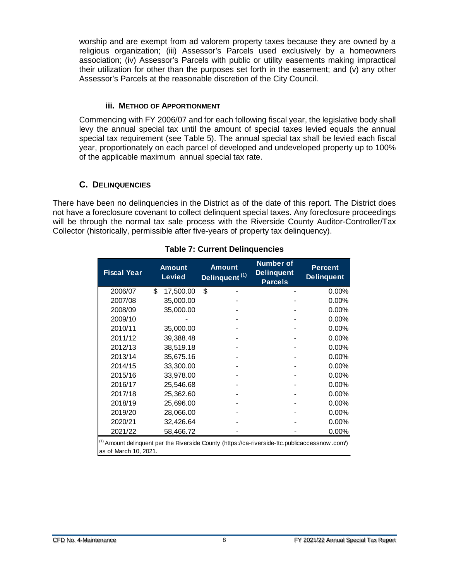worship and are exempt from ad valorem property taxes because they are owned by a religious organization; (iii) Assessor's Parcels used exclusively by a homeowners association; (iv) Assessor's Parcels with public or utility easements making impractical their utilization for other than the purposes set forth in the easement; and (v) any other Assessor's Parcels at the reasonable discretion of the City Council.

#### **iii. METHOD OF APPORTIONMENT**

<span id="page-10-0"></span>Commencing with FY 2006/07 and for each following fiscal year, the legislative body shall levy the annual special tax until the amount of special taxes levied equals the annual special tax requirement (see Table 5). The annual special tax shall be levied each fiscal year, proportionately on each parcel of developed and undeveloped property up to 100% of the applicable maximum annual special tax rate.

#### **C. DELINQUENCIES**

<span id="page-10-2"></span><span id="page-10-1"></span>There have been no delinquencies in the District as of the date of this report. The District does not have a foreclosure covenant to collect delinquent special taxes. Any foreclosure proceedings will be through the normal tax sale process with the Riverside County Auditor-Controller/Tax Collector (historically, permissible after five-years of property tax delinquency).

| <b>Fiscal Year</b>                                                                                                      | <b>Amount</b><br><b>Levied</b> | <b>Amount</b><br>Delinquent <sup>(1)</sup> | <b>Number of</b><br><b>Delinquent</b><br><b>Parcels</b> | <b>Percent</b><br><b>Delinquent</b> |  |  |  |  |
|-------------------------------------------------------------------------------------------------------------------------|--------------------------------|--------------------------------------------|---------------------------------------------------------|-------------------------------------|--|--|--|--|
| 2006/07                                                                                                                 | \$<br>17,500.00                | \$                                         |                                                         | $0.00\%$                            |  |  |  |  |
| 2007/08                                                                                                                 | 35,000.00                      |                                            |                                                         | 0.00%                               |  |  |  |  |
| 2008/09                                                                                                                 | 35,000.00                      |                                            |                                                         | 0.00%                               |  |  |  |  |
| 2009/10                                                                                                                 |                                |                                            |                                                         | 0.00%                               |  |  |  |  |
| 2010/11                                                                                                                 | 35,000.00                      |                                            |                                                         | 0.00%                               |  |  |  |  |
| 2011/12                                                                                                                 | 39,388.48                      |                                            |                                                         | 0.00%                               |  |  |  |  |
| 2012/13                                                                                                                 | 38,519.18                      |                                            |                                                         | 0.00%                               |  |  |  |  |
| 2013/14                                                                                                                 | 35,675.16                      |                                            |                                                         | 0.00%                               |  |  |  |  |
| 2014/15                                                                                                                 | 33,300.00                      |                                            |                                                         | 0.00%                               |  |  |  |  |
| 2015/16                                                                                                                 | 33,978.00                      |                                            |                                                         | 0.00%                               |  |  |  |  |
| 2016/17                                                                                                                 | 25,546.68                      |                                            |                                                         | 0.00%                               |  |  |  |  |
| 2017/18                                                                                                                 | 25,362.60                      |                                            |                                                         | 0.00%                               |  |  |  |  |
| 2018/19                                                                                                                 | 25,696.00                      |                                            |                                                         | 0.00%                               |  |  |  |  |
| 2019/20                                                                                                                 | 28,066.00                      |                                            |                                                         | 0.00%                               |  |  |  |  |
| 2020/21                                                                                                                 | 32,426.64                      |                                            |                                                         | 0.00%                               |  |  |  |  |
| 2021/22                                                                                                                 | 58,466.72                      |                                            |                                                         | $0.00\%$                            |  |  |  |  |
| (1) Amount delinquent per the Riverside County (https://ca-riverside-ttc.publicaccessnow.com/)<br>as of March 10, 2021. |                                |                                            |                                                         |                                     |  |  |  |  |

#### **Table 7: Current Delinquencies**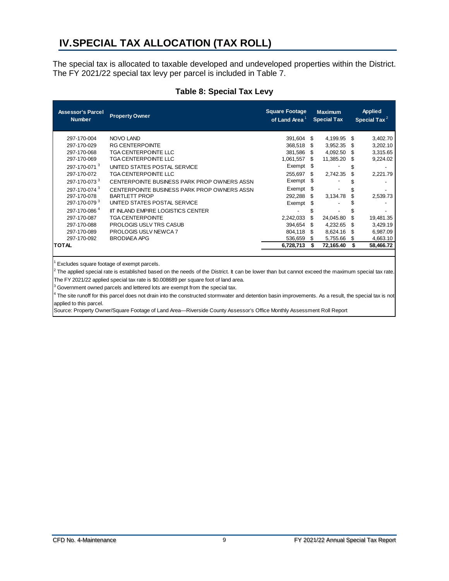#### <span id="page-11-0"></span>**IV.SPECIAL TAX ALLOCATION (TAX ROLL)**

The special tax is allocated to taxable developed and undeveloped properties within the District. The FY 2021/22 special tax levy per parcel is included in Table 7.

<span id="page-11-1"></span>

| <b>Assessor's Parcel</b><br><b>Number</b> | <b>Property Owner</b>                       | <b>Square Footage</b><br>of Land Area <sup>1</sup> |      | <b>Maximum</b><br><b>Special Tax</b> |     | <b>Applied</b><br>Special Tax $^2$ |
|-------------------------------------------|---------------------------------------------|----------------------------------------------------|------|--------------------------------------|-----|------------------------------------|
| 297-170-004                               | <b>NOVO LAND</b>                            | 391,604                                            | - \$ | 4,199.95                             | S   | 3,402.70                           |
| 297-170-029                               | <b>RG CENTERPOINTE</b>                      | 368.518                                            | S    | 3,952.35                             | £.  | 3,202.10                           |
| 297-170-068                               | <b>TGA CENTERPOINTE LLC</b>                 | 381,586                                            | -SS  | 4,092.50                             | S   | 3,315.65                           |
| 297-170-069                               | TGA CENTERPOINTE LLC                        | 1,061,557                                          | \$.  | 11,385.20                            | S   | 9,224.02                           |
| 297-170-071 <sup>3</sup>                  | UNITED STATES POSTAL SERVICE                | Exempt                                             | - \$ |                                      | \$  |                                    |
| 297-170-072                               | TGA CENTERPOINTE LLC                        | 255,697                                            | \$.  | 2,742.35                             | \$  | 2,221.79                           |
| 297-170-073 <sup>3</sup>                  | CENTERPOINTE BUSINESS PARK PROP OWNERS ASSN | Exempt                                             | - \$ |                                      |     |                                    |
| 297-170-074 <sup>3</sup>                  | CENTERPOINTE BUSINESS PARK PROP OWNERS ASSN | Exempt                                             | - \$ |                                      |     |                                    |
| 297-170-078                               | <b>BARTLETT PROP</b>                        | 292,288                                            | S    | 3,134.78                             |     | 2,539.73                           |
| 297-170-079 <sup>3</sup>                  | UNITED STATES POSTAL SERVICE                | Exempt                                             | S    |                                      |     |                                    |
| 297-170-086 <sup>4</sup>                  | <b>IIT INLAND EMPIRE LOGISTICS CENTER</b>   |                                                    |      |                                      |     |                                    |
| 297-170-087                               | <b>TGA CENTERPOINTE</b>                     | 2,242,033                                          | S    | 24,045.80                            | S   | 19,481.35                          |
| 297-170-088                               | <b>PROLOGIS USLV TRS CASUB</b>              | 394,654                                            | S    | 4,232.65                             | \$. | 3,429.19                           |
| 297-170-089                               | <b>PROLOGIS USLV NEWCA 7</b>                | 804,118                                            | S    | 8,624.16                             | S   | 6,987.09                           |
| 297-170-092                               | <b>BRODIAEA APG</b>                         | 536,659                                            | S    | 5,755.66                             | S   | 4,663.10                           |
| TOTAL                                     |                                             | 6,728,713                                          | S    | 72,165.40                            | S   | 58,466.72                          |

#### **Table 8: Special Tax Levy**

Excludes square footage of exempt parcels.

The applied special rate is established based on the needs of the District. It can be lower than but cannot exceed the maximum special tax rate. The FY 2021/22 applied special tax rate is \$0.008689 per square foot of land area.

Government owned parcels and lettered lots are exempt from the special tax.

The site runoff for this parcel does not drain into the constructed stormwater and detention basin improvements. As a result, the special tax is not applied to this parcel.

Source: Property Owner/Square Footage of Land Area—Riverside County Assessor's Office Monthly Assessment Roll Report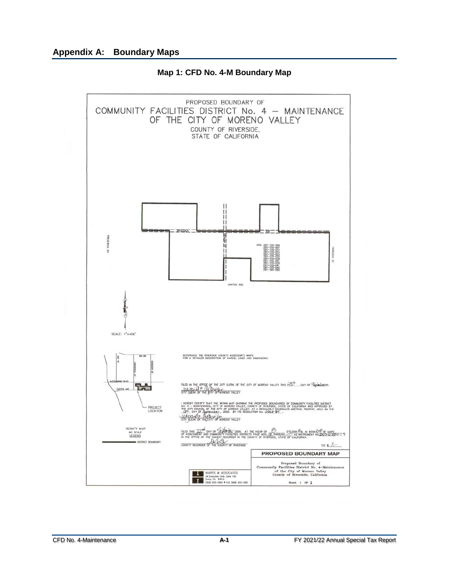<span id="page-12-0"></span>

**Map 1: CFD No. 4-M Boundary Map**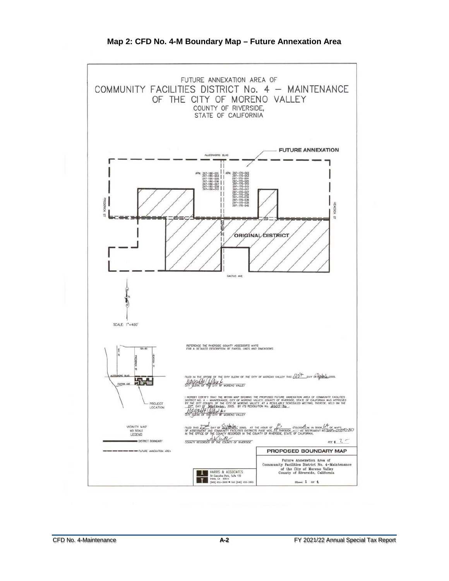<span id="page-13-0"></span>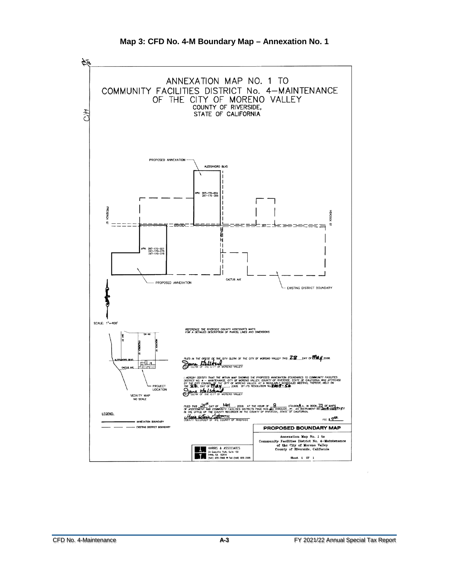<span id="page-14-0"></span>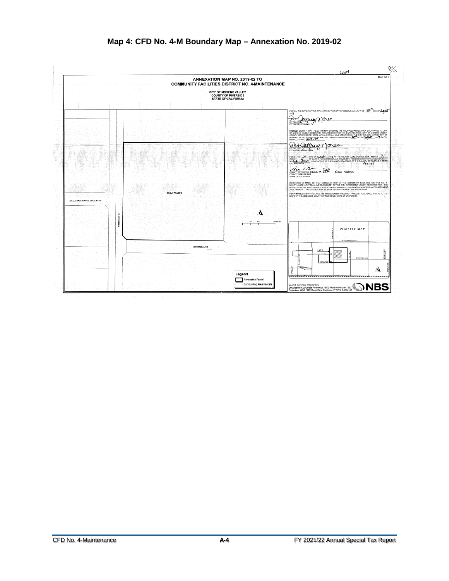<span id="page-15-0"></span>

#### **Map 4: CFD No. 4-M Boundary Map – Annexation No. 2019-02**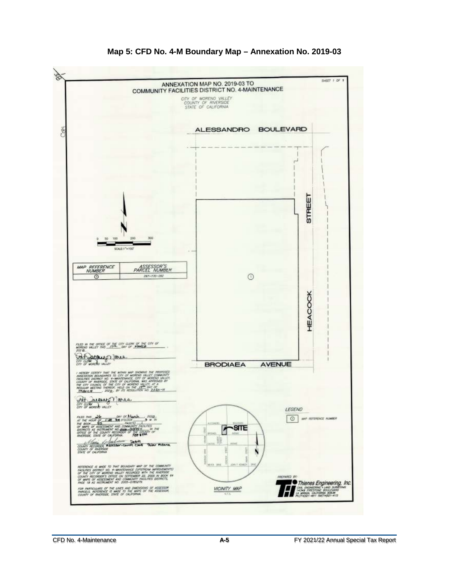<span id="page-16-0"></span>

#### **Map 5: CFD No. 4-M Boundary Map – Annexation No. 2019-03**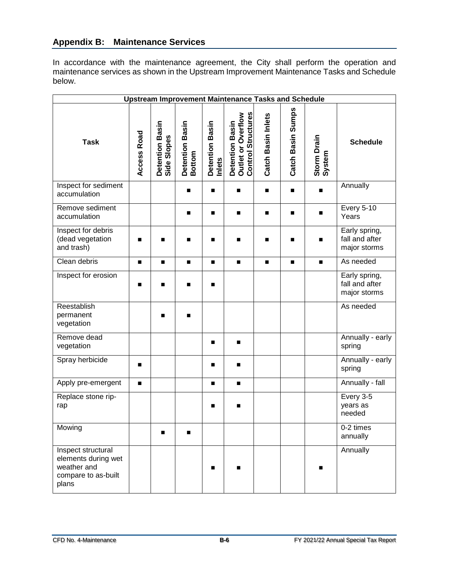#### **Appendix B: Maintenance Services**

In accordance with the maintenance agreement, the City shall perform the operation and maintenance services as shown in the Upstream Improvement Maintenance Tasks and Schedule below.

| <b>Upstream Improvement Maintenance Tasks and Schedule</b>                               |                |                                |                           |                           |                                                                    |                    |                   |                       |                                                 |
|------------------------------------------------------------------------------------------|----------------|--------------------------------|---------------------------|---------------------------|--------------------------------------------------------------------|--------------------|-------------------|-----------------------|-------------------------------------------------|
| <b>Task</b>                                                                              | Access Road    | Detention Basin<br>Side Slopes | Detention Basin<br>Bottom | Detention Basin<br>Inlets | <b>Control Structures</b><br>Detention Basin<br>Outlet or Overflow | Catch Basin Inlets | Catch Basin Sumps | Storm Drain<br>System | <b>Schedule</b>                                 |
| Inspect for sediment<br>accumulation                                                     |                |                                |                           | п                         | ■                                                                  | п                  | ■                 | ■                     | Annually                                        |
| Remove sediment<br>accumulation                                                          |                |                                |                           | $\blacksquare$            | $\blacksquare$                                                     |                    | ■                 | п                     | <b>Every 5-10</b><br>Years                      |
| Inspect for debris<br>(dead vegetation<br>and trash)                                     | ■              | П                              | ■                         | п                         | ■                                                                  | ■                  | ■                 | $\blacksquare$        | Early spring,<br>fall and after<br>major storms |
| Clean debris                                                                             | $\blacksquare$ | $\blacksquare$                 | $\blacksquare$            | $\blacksquare$            | $\blacksquare$                                                     | $\blacksquare$     | $\blacksquare$    | $\blacksquare$        | As needed                                       |
| Inspect for erosion                                                                      | ■              | П                              | ■                         | п                         |                                                                    |                    |                   |                       | Early spring,<br>fall and after<br>major storms |
| Reestablish<br>permanent<br>vegetation                                                   |                | П                              | ■                         |                           |                                                                    |                    |                   |                       | As needed                                       |
| Remove dead<br>vegetation                                                                |                |                                |                           | п                         | $\blacksquare$                                                     |                    |                   |                       | Annually - early<br>spring                      |
| Spray herbicide                                                                          | ■              |                                |                           | п                         | $\blacksquare$                                                     |                    |                   |                       | Annually - early<br>spring                      |
| Apply pre-emergent                                                                       |                |                                |                           | п                         | $\blacksquare$                                                     |                    |                   |                       | Annually - fall                                 |
| Replace stone rip-<br>rap                                                                |                |                                |                           | ■                         | ■                                                                  |                    |                   |                       | Every 3-5<br>years as<br>needed                 |
| Mowing                                                                                   |                | ■                              |                           |                           |                                                                    |                    |                   |                       | 0-2 times<br>annually                           |
| Inspect structural<br>elements during wet<br>weather and<br>compare to as-built<br>plans |                |                                |                           | ▬                         |                                                                    |                    |                   |                       | Annually                                        |